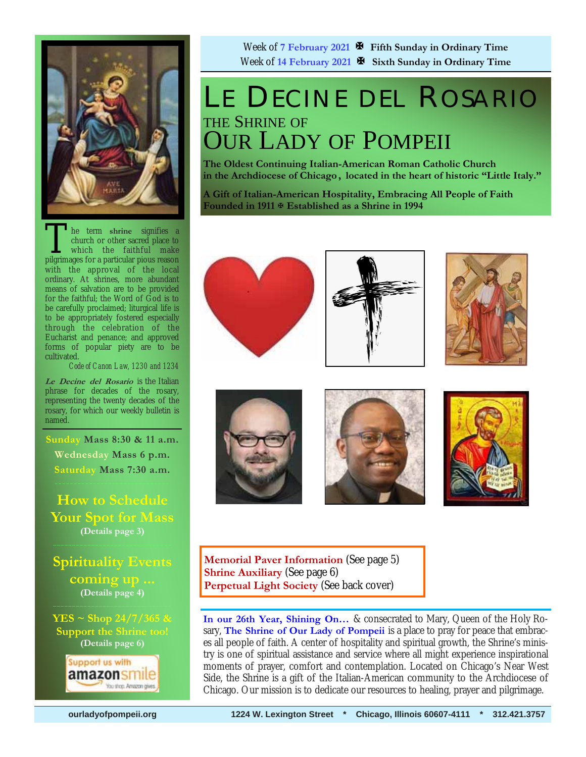

The term shrine signifies a<br>church or other sacred place to<br>which the faithful make<br>pilgrimages for a particular pious reason church or other sacred place to which the faithful make pilgrimages for a particular pious reason with the approval of the local ordinary. At shrines, more abundant means of salvation are to be provided for the faithful; the Word of God is to be carefully proclaimed; liturgical life is to be appropriately fostered especially through the celebration of the Eucharist and penance; and approved forms of popular piety are to be cultivated.

*Code of Canon Law, 1230 and 1234* 

**Le Decine del Rosario** is the Italian phrase for decades of the rosary, representing the twenty decades of the rosary, for which our weekly bulletin is named.

**Sunday Mass 8:30 & 11 a.m. Wednesday Mass 6 p.m. Saturday Mass 7:30 a.m.** 

**How to Schedule Your Spot for Mass (Details page 3)** 

### **Spirituality Events coming up ... (Details page 4)**

**YES ~ Shop 24/7/365 & Support the Shrine too! (Details page 6)** 



Week of **7 February 2021 Fifth Sunday in Ordinary Time**  Week of **14 February 2021 Sixth Sunday in Ordinary Time** 

## LE DECINE DEL ROSARIO THE SHRINE OF OUR LADY OF POMPEII

**The Oldest Continuing Italian-American Roman Catholic Church in the Archdiocese of Chicago , located in the heart of historic "Little Italy."** 

**A Gift of Italian-American Hospitality, Embracing All People of Faith Founded in 1911 Established as a Shrine in 1994**













**Memorial Paver Information** (See page 5) **Shrine Auxiliary** (See page 6) **Perpetual Light Society** (See back cover)

**In our 26th Year, Shining On…** & consecrated to Mary, Queen of the Holy Rosary, **The Shrine of Our Lady of Pompeii** is a place to pray for peace that embraces all people of faith. A center of hospitality and spiritual growth, the Shrine's ministry is one of spiritual assistance and service where all might experience inspirational moments of prayer, comfort and contemplation. Located on Chicago's Near West Side, the Shrine is a gift of the Italian-American community to the Archdiocese of Chicago. Our mission is to dedicate our resources to healing, prayer and pilgrimage.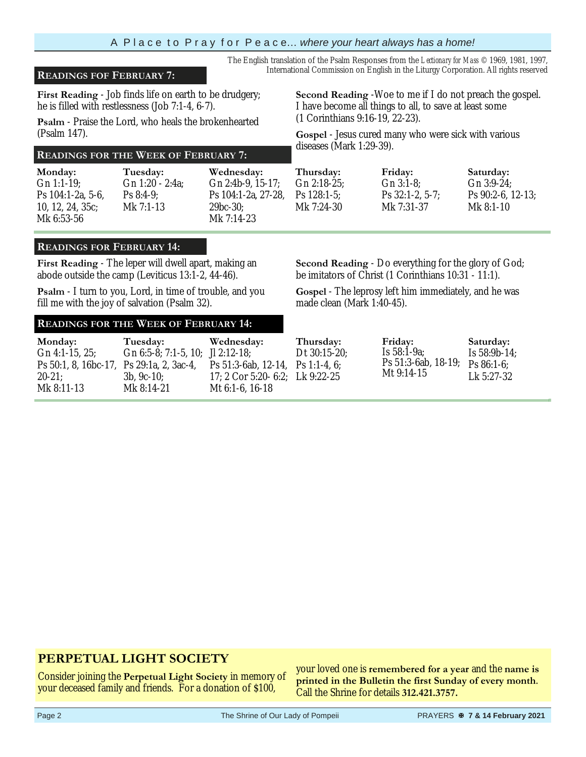### International Commission on English in the Liturgy Corporation. All rights reserved **READINGS FOF FEBRUARY 7:**

**First Reading** - Job finds life on earth to be drudgery; he is filled with restlessness (Job 7:1-4, 6-7).

**Psalm** - Praise the Lord, who heals the brokenhearted (Psalm 147).

## diseases (Mark 1:29-39). **READINGS FOR THE WEEK OF FEBRUARY 7:**

**Monday:**  Gn 1:1-19; Ps 104:1-2a, 5-6, 10, 12, 24, 35c; Mk 6:53-56

**Tuesday:** Gn 1:20 - 2:4a; Ps 8:4-9; Mk 7:1-13

**Wednesday:** Gn 2:4b-9, 15-17; Ps 104:1-2a, 27-28, 29bc-30; Mk 7:14-23

#### **READINGS FOR FEBRUARY 14:**

**First Reading** - The leper will dwell apart, making an abode outside the camp (Leviticus 13:1-2, 44-46).

**Psalm** - I turn to you, Lord, in time of trouble, and you fill me with the joy of salvation (Psalm 32).

#### **READINGS FOR THE WEEK OF FEBRUARY 14:**

**Monday:**  Gn 4:1-15, 25; Ps 50:1, 8, 16bc-17, Ps 29:1a, 2, 3ac-4,  $20 - 21$ Mk 8:11-13 **Tuesday:** Gn 6:5-8; 7:1-5, 10; Jl 2:12-18; 3b, 9c-10; Mk 8:14-21 **Wednesday:** Ps 51:3-6ab, 12-14, 17; 2 Cor 5:20- 6:2; Lk 9:22-25 Mt 6:1-6, 16-18 **Thursday:** Dt 30:15-20; Ps 1:1-4, 6; **Friday:** Is 58:1-9a; Ps 51:3-6ab, 18-19; Mt 9:14-15

#### Ps 128:1-5; Ps 32:1-2, 5-7; Mk 7:31-37

**Thursday:** Gn 2:18-25; **Friday:** Gn 3:1-8; Gn 3:9-24;

**Second Reading** -Woe to me if I do not preach the gospel.

**Second Reading** - Do everything for the glory of God; be imitators of Christ (1 Corinthians 10:31 - 11:1).

**Gospel** - The leprosy left him immediately, and he was made clean (Mark 1:40-45).

### **PERPETUAL LIGHT SOCIETY**

Consider joining the **Perpetual Light Society** in memory of your deceased family and friends. For a donation of \$100,

your loved one is **remembered for a year** and the **name is printed in the Bulletin the first Sunday of every month**. Call the Shrine for details **312.421.3757.** 

**Saturday:** Is 58:9b-14; Ps 86:1-6;

**Gospel** - Jesus cured many who were sick with various

I have become all things to all, to save at least some

The English translation of the Psalm Responses from the *Lectionary for Mass* © 1969, 1981, 1997,

Mk 7:24-30

(1 Corinthians 9:16-19, 22-23).

**Saturday:** Ps 90:2-6, 12-13; Mk 8:1-10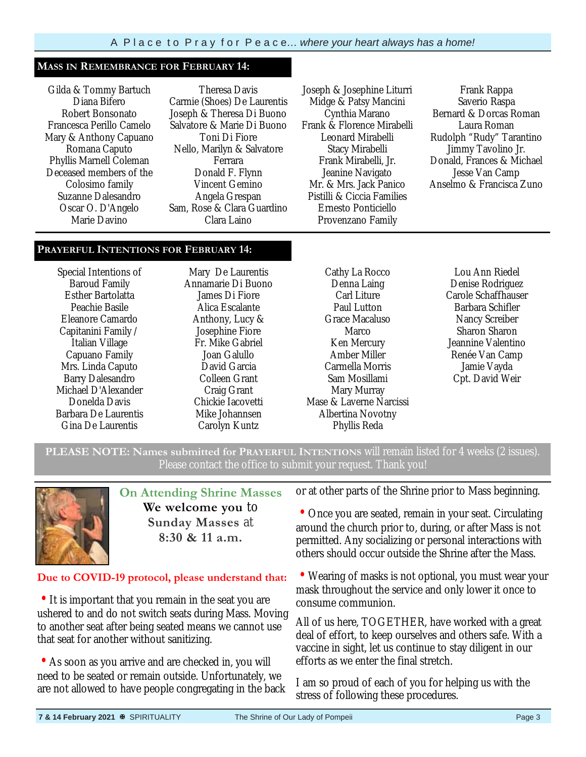#### **MASS IN REMEMBRANCE FOR FEBRUARY 14:**

Gilda & Tommy Bartuch Diana Bifero Robert Bonsonato Francesca Perillo Camelo Mary & Anthony Capuano Romana Caputo Phyllis Marnell Coleman Deceased members of the Colosimo family Suzanne Dalesandro Oscar O. D'Angelo Marie Davino

Theresa Davis Carmie (Shoes) De Laurentis Joseph & Theresa Di Buono Salvatore & Marie Di Buono Toni Di Fiore Nello, Marilyn & Salvatore Ferrara Donald F. Flynn Vincent Gemino Angela Grespan Sam, Rose & Clara Guardino Clara Laino

Joseph & Josephine Liturri Midge & Patsy Mancini Cynthia Marano Frank & Florence Mirabelli Leonard Mirabelli Stacy Mirabelli Frank Mirabelli, Jr. Jeanine Navigato Mr. & Mrs. Jack Panico Pistilli & Ciccia Families Ernesto Ponticiello Provenzano Family

Frank Rappa Saverio Raspa Bernard & Dorcas Roman Laura Roman Rudolph "Rudy" Tarantino Jimmy Tavolino Jr. Donald, Frances & Michael Jesse Van Camp Anselmo & Francisca Zuno

#### **PRAYERFUL INTENTIONS FOR FEBRUARY 14:**

Special Intentions of Baroud Family Esther Bartolatta Peachie Basile Eleanore Camardo Capitanini Family / Italian Village Capuano Family Mrs. Linda Caputo Barry Dalesandro Michael D'Alexander Donelda Davis Barbara De Laurentis Gina De Laurentis

Mary De Laurentis Annamarie Di Buono James Di Fiore Alica Escalante Anthony, Lucy & Josephine Fiore Fr. Mike Gabriel Joan Galullo David Garcia Colleen Grant Craig Grant Chickie Iacovetti Mike Johannsen Carolyn Kuntz

Cathy La Rocco Denna Laing Carl Liture Paul Lutton Grace Macaluso Marco Ken Mercury Amber Miller Carmella Morris Sam Mosillami Mary Murray Mase & Laverne Narcissi Albertina Novotny Phyllis Reda

Lou Ann Riedel Denise Rodriguez Carole Schaffhauser Barbara Schifler Nancy Screiber Sharon Sharon Jeannine Valentino Renée Van Camp Jamie Vayda Cpt. David Weir

**PLEASE NOTE: Names submitted for PRAYERFUL INTENTIONS** will remain listed for 4 weeks (2 issues). Please contact the office to submit your request. Thank you!



**On Attending Shrine Masses We welcome you** to **Sunday Masses** at **8:30 & 11 a.m.** 

#### **Due to COVID-19 protocol, please understand that:**

• It is important that you remain in the seat you are ushered to and do not switch seats during Mass. Moving to another seat after being seated means we cannot use that seat for another without sanitizing.

• As soon as you arrive and are checked in, you will need to be seated or remain outside. Unfortunately, we are not allowed to have people congregating in the back

or at other parts of the Shrine prior to Mass beginning.

• Once you are seated, remain in your seat. Circulating around the church prior to, during, or after Mass is not permitted. Any socializing or personal interactions with others should occur outside the Shrine after the Mass.

• Wearing of masks is not optional, you must wear your mask throughout the service and only lower it once to consume communion.

All of us here, TOGETHER, have worked with a great deal of effort, to keep ourselves and others safe. With a vaccine in sight, let us continue to stay diligent in our efforts as we enter the final stretch.

I am so proud of each of you for helping us with the stress of following these procedures.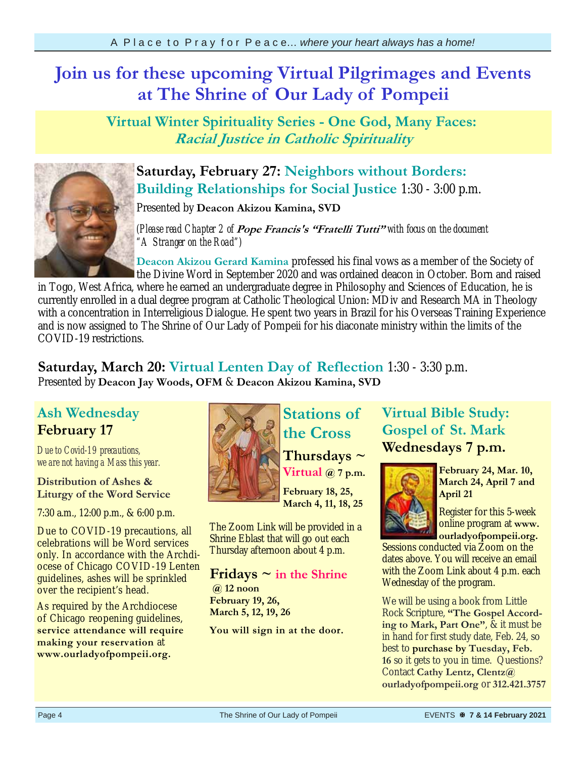## **Join us for these upcoming Virtual Pilgrimages and Events at The Shrine of Our Lady of Pompeii**

**Virtual Winter Spirituality Series - One God, Many Faces: Racial Justice in Catholic Spirituality**



## **Saturday, February 27: Neighbors without Borders: Building Relationships for Social Justice** 1:30 - 3:00 p.m.

Presented by **Deacon Akizou Kamina, SVD** 

*(Please read Chapter 2 of* **Pope Francis's "Fratelli Tutti"** *with focus on the document "A Stranger on the Road")*

**Deacon Akizou Gerard Kamina** professed his final vows as a member of the Society of the Divine Word in September 2020 and was ordained deacon in October. Born and raised

in Togo, West Africa, where he earned an undergraduate degree in Philosophy and Sciences of Education, he is currently enrolled in a dual degree program at Catholic Theological Union: MDiv and Research MA in Theology with a concentration in Interreligious Dialogue. He spent two years in Brazil for his Overseas Training Experience and is now assigned to The Shrine of Our Lady of Pompeii for his diaconate ministry within the limits of the COVID-19 restrictions.

**Saturday, March 20: Virtual Lenten Day of Reflection** 1:30 - 3:30 p.m. Presented by **Deacon Jay Woods, OFM** & **Deacon Akizou Kamina, SVD** 

## **Ash Wednesday February 17**

*Due to Covid-19 precautions, we are not having a Mass this year.* 

### **Distribution of Ashes & Liturgy of the Word Service**

7:30 a.m., 12:00 p.m., & 6:00 p.m.

Due to COVID-19 precautions, all celebrations will be Word services only. In accordance with the Archdiocese of Chicago COVID-19 Lenten guidelines, ashes will be sprinkled over the recipient's head.

As required by the Archdiocese of Chicago reopening guidelines, **service attendance will require making your reservation** at **www.ourladyofpompeii.org.** 



# **Stations of the Cross**

**Thursdays ~ Virtual @ 7 p.m.** 

**February 18, 25, March 4, 11, 18, 25** 

The Zoom Link will be provided in a Shrine Eblast that will go out each Thursday afternoon about 4 p.m.

**Fridays ~ in the Shrine @ 12 noon February 19, 26, March 5, 12, 19, 26** 

**You will sign in at the door.** 

## **Virtual Bible Study: Gospel of St. Mark Wednesdays 7 p.m.**



**February 24, Mar. 10, March 24, April 7 and April 21** 

Register for this 5-week online program at **www. ourladyofpompeii.org.**

Sessions conducted via Zoom on the dates above. You will receive an email with the Zoom Link about 4 p.m. each Wednesday of the program.

We will be using a book from Little Rock Scripture, **"The Gospel According to Mark, Part One"**, & it must be in hand for first study date, Feb. 24, so best to **purchase by Tuesday, Feb. 16** so it gets to you in time. Questions? Contact **Cathy Lentz, Clentz@ ourladyofpompeii.org** or **312.421.3757**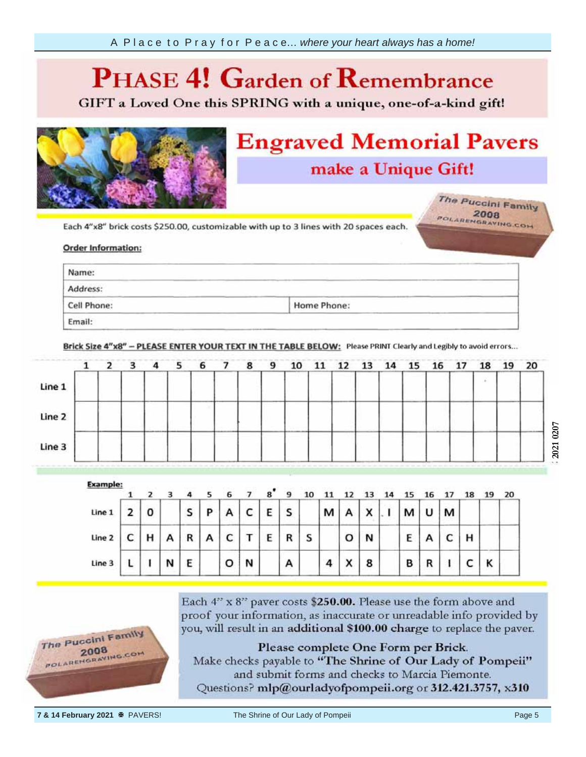### **Garden of Remember**  $P$

GIFT a Loved One this SPRING with a unique, one-of-a-kind gift!



# **Engraved Memorial Pavers** make a Unique Gift!

The Puccini Family POLARENGRAVING.COM

Each 4"x8" brick costs \$250.00, customizable with up to 3 lines with 20 spaces each.

#### unreadable info **provided** by the by the by the by the by the by the by the provided by the provided by the by the by the by the by the by the by the by the by the by the by the by the by the by the by the by the by the by the by the by t

| Name:       |             |  |
|-------------|-------------|--|
| Address:    |             |  |
| Cell Phone: | Home Phone: |  |
| Email:      |             |  |

Brick Size 4"x8" - PLEASE ENTER YOUR TEXT IN THE TABLE BELOW: Please PRINT Clearly and Legibly to avoid errors...

|        |  |     |  |  | 10    | 11 | 13 | 14 | 16 | 18 | 19 | Control of the control of the<br>20 |
|--------|--|-----|--|--|-------|----|----|----|----|----|----|-------------------------------------|
| Line 1 |  |     |  |  |       |    |    |    |    |    |    |                                     |
| Line 2 |  |     |  |  |       |    |    |    |    |    |    |                                     |
| Line 3 |  | --- |  |  | ----- |    |    |    |    |    |    |                                     |

| Example: |   |   |                        |          |   |   | 8 |   | 10 |   |   |        |   | 16 |   | 18 |   | 20 |
|----------|---|---|------------------------|----------|---|---|---|---|----|---|---|--------|---|----|---|----|---|----|
| Line 1   |   |   | S                      | b        | А |   | E | c |    | М |   | Y<br>灬 | м | u  | м |    |   |    |
| Line 2   | н | А | <b>CONTRACTOR</b><br>R | 323<br>А | с |   | E | R | S  |   | o | N      | E |    | c | н  |   |    |
| Line 3   |   | N | E                      |          | o | И |   | Α |    | 4 | x | 8      | в |    |   |    | κ |    |



Each 4" x 8" paver costs \$250.00. Please use the form above and proof your information, as inaccurate or unreadable info provided by you, will result in an additional \$100.00 charge to replace the paver.

Please complete One Form per Brick.

Make checks payable to "The Shrine of Our Lady of Pompeii" and submit forms and checks to Marcia Piemonte. Questions? mlp@ourladyofpompeii.org or 312.421.3757, x310

**7 & 14 February 2021**  $\overline{\bullet}$  PAVERS! The Shrine of Our Lady of Pompeii Page 5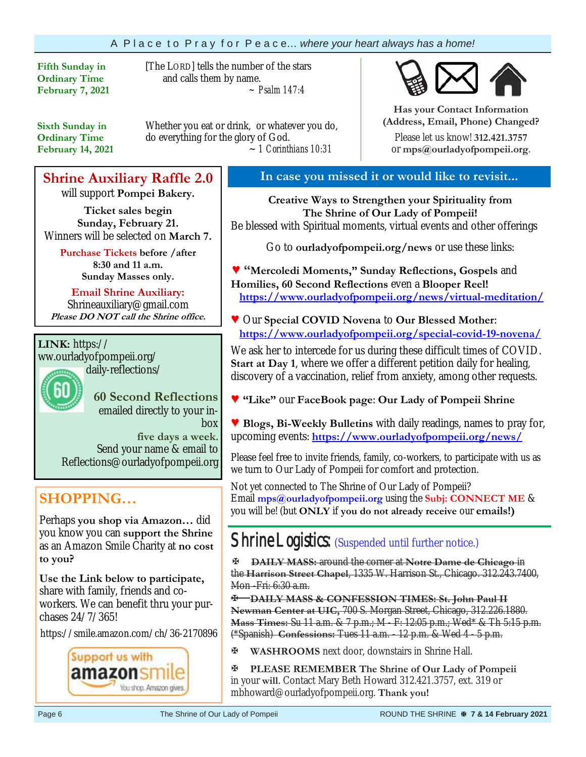### A P l a c e t o P r a y f o r P e a c e… *where your heart always has a home!*

**Fifth Sunday in Ordinary Time February 7, 2021** [The LORD] tells the number of the stars and calls them by name.  *~ Psalm 147:4*

**Sixth Sunday in Ordinary Time February 14, 2021**  Whether you eat or drink, or whatever you do, do everything for the glory of God. ~ *1 Corinthians 10:31*

## **Shrine Auxiliary Raffle 2.0**

will support **Pompei Bakery.**

**Ticket sales begin Sunday, February 21.**  Winners will be selected on **March 7.**

> **Purchase Tickets before /after 8:30 and 11 a.m. Sunday Masses only.**

**Email Shrine Auxiliary:**  Shrineauxiliary@gmail.com **Please DO NOT call the Shrine office.**

## **LINK:** https://

ww.ourladyofpompeii.org/ daily-reflections/

> **60 Second Reflections**  emailed directly to your inbox

**five days a week**. Send your name & email to Reflections@ourladyofpompeii.org

## **SHOPPING…**

Perhaps **you shop via Amazon…** did you know you can **support the Shrine**  as an Amazon Smile Charity at **no cost to you?** 

**Use the Link below to participate,** share with family, friends and coworkers. We can benefit thru your purchases 24/7/365!

https://smile.amazon.com/ch/36-2170896



### **In case you missed it or would like to revisit...**

**Creative Ways to Strengthen your Spirituality from The Shrine of Our Lady of Pompeii!**  Be blessed with Spiritual moments, virtual events and other offerings

Go to **ourladyofpompeii.org/news** or use these links:

**♥ "Mercoledi Moments," Sunday Reflections, Gospels** and **Homilies, 60 Second Reflections** even a **Blooper Reel! https://www.ourladyofpompeii.org/news/virtual-meditation/** 

**♥** Our **Special COVID Novena** to **Our Blessed Mother**:  **https://www.ourladyofpompeii.org/special-covid-19-novena/** 

We ask her to intercede for us during these difficult times of COVID. **Start at Day 1**, where we offer a different petition daily for healing, discovery of a vaccination, relief from anxiety, among other requests.

- **♥ "Like"** our **FaceBook page**: **Our Lady of Pompeii Shrine**
- **♥ Blogs, Bi-Weekly Bulletins** with daily readings, names to pray for, upcoming events: **https://www.ourladyofpompeii.org/news/**

Please feel free to invite friends, family, co-workers, to participate with us as we turn to Our Lady of Pompeii for comfort and protection.

Not yet connected to The Shrine of Our Lady of Pompeii? Email **mps@ourladyofpompeii.org** using the **Subj: CONNECT ME** & you will be! (but **ONLY** if **you do not already receive** our **emails!)**

## Shrine Logistics: (Suspended until further notice.)

**DAILY MASS:** around the corner at **Notre Dame de Chicago** in the **Harrison Street Chapel**, 1335 W. Harrison St., Chicago. 312.243.7400, Mon -Fri: 6:30 a.m.

**DAILY MASS & CONFESSION TIMES: St. John Paul II Newman Center at UIC,** 700 S. Morgan Street, Chicago, 312.226.1880. **Mass Times:** Su 11 a.m. & 7 p.m.; M - F: 12:05 p.m.; Wed\* & Th 5:15 p.m. (\*Spanish) **Confessions:** Tues 11 a.m. - 12 p.m. & Wed 4 - 5 p.m.

**WASHROOMS** next door, downstairs in Shrine Hall.

**PLEASE REMEMBER The Shrine of Our Lady of Pompeii**  in your **will**. Contact Mary Beth Howard 312.421.3757, ext. 319 or mbhoward@ourladyofpompeii.org. **Thank you!** 



**Has your Contact Information (Address, Email, Phone) Changed?**

Please let us know! **312.421.3757**  or **mps@ourladyofpompeii.org**.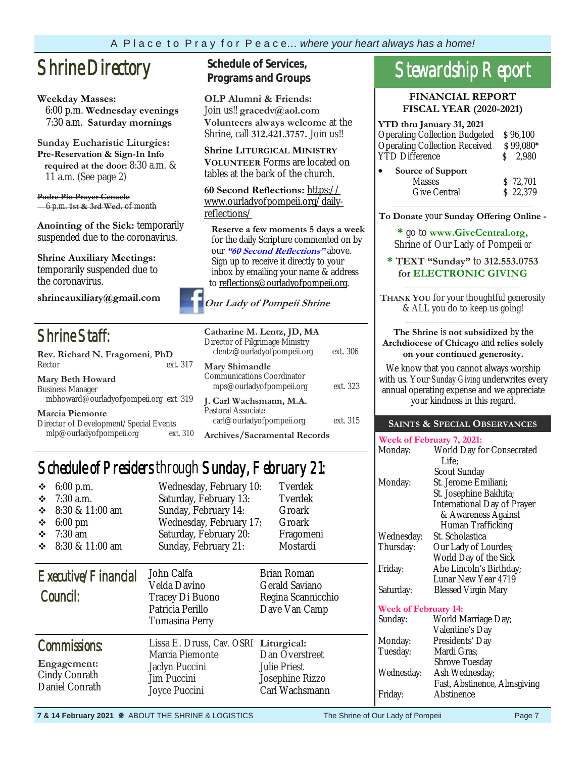#### A P l a c e t o P r a y f o r P e a c e… *where your heart always has a home!*

## **Shrine Directory** Schedule of Services,

#### **Weekday Masses:**

 6:00 p.m. **Wednesday evenings** 7:30 a.m. **Saturday mornings**

**Sunday Eucharistic Liturgies: Pre-Reservation & Sign-In Info required at the door:** 8:30 a.m. & 11 a.m. (See page 2)

**Padre Pio Prayer Cenacle** 6 p.m. **1st & 3rd Wed.** of month

**Anointing of the Sick:** temporarily suspended due to the coronavirus.

**Shrine Auxiliary Meetings:**  temporarily suspended due to the coronavirus.

**shrineauxiliary@gmail.com** 

## Shrine Staff:

| Rev. Richard N. Fragomeni, PhD                                    |          |  |  |  |
|-------------------------------------------------------------------|----------|--|--|--|
| Rector                                                            | ext. 317 |  |  |  |
| Mary Beth Howard                                                  |          |  |  |  |
| <b>Business Manager</b><br>mbhoward@ourladyofpompeii.org ext. 319 |          |  |  |  |
| <b>Marcia Piemonte</b>                                            |          |  |  |  |
| Director of Development/Special Fyonts                            |          |  |  |  |

Director of Development/Special Events mlp@ourladyofpompeii.org ext. 310

# **Programs and Groups**

**OLP Alumni & Friends:**  Join us!! **gracedv@aol.com Volunteers always welcome** at the Shrine, call **312.421.3757.** Join us!!

**Shrine LITURGICAL MINISTRY VOLUNTEER** Forms are located on tables at the back of the church.

**60 Second Reflections:** https:// www.ourladyofpompeii.org/dailyreflections/

 **Reserve a few moments 5 days a week**  for the daily Scripture commented on by our **"60 Second Reflections"** above. Sign up to receive it directly to your inbox by emailing your name & address to reflections@ourladyofpompeii.org.

### **Our Lady of Pompeii Shrine**

| Catharine M. Lentz, JD, MA<br>Director of Pilgrimage Ministry<br>clentz@ourladyofpompeii.org | ext. 306 |
|----------------------------------------------------------------------------------------------|----------|
| Mary Shimandle<br>Communications Coordinator<br>mps@ourladyofpompeii.org                     | ext. 323 |
| J. Carl Wachsmann, M.A.<br>Pastoral Associate<br>carl@ourladyofpompeii.org                   | ext. 315 |
| Archives/Sacramental Records                                                                 |          |

## Schedule of Presiders through Sunday, February 21:

| 6:00 p.m.<br>❖<br>$7:30$ a.m.<br>❖<br>8:30 & 11:00 am<br>❖<br>6:00 pm<br>❖<br>$7:30$ am<br>❖<br>8:30 & 11:00 am<br>❖ | Wednesday, February 10:<br>Saturday, February 13:<br>Sunday, February 14:<br>Wednesday, February 17:<br>Saturday, February 20:<br>Sunday, February 21: | Tverdek<br>Tverdek<br>Groark<br>Groark<br>Fragomeni<br>Mostardi            |
|----------------------------------------------------------------------------------------------------------------------|--------------------------------------------------------------------------------------------------------------------------------------------------------|----------------------------------------------------------------------------|
| Executive/Financial<br>Council:                                                                                      | John Calfa<br>Velda Davino<br>Tracey Di Buono<br>Patricia Perillo<br>Tomasina Perry                                                                    | Brian Roman<br>Gerald Saviano<br>Regina Scannicchio<br>Dave Van Camp       |
| Commissions:<br>Engagement:<br>Cindy Conrath<br>Daniel Conrath                                                       | Lissa E. Druss, Cav. OSRI Liturgical:<br>Marcia Piemonte<br>Jaclyn Puccini<br>Jim Puccini<br>Joyce Puccini                                             | Dan Overstreet<br><b>Julie Priest</b><br>Josephine Rizzo<br>Carl Wachsmann |

# Stewardship Report

**FINANCIAL REPORT FISCAL YEAR (2020-2021)** 

| YTD thru January 31, 2021            |           |
|--------------------------------------|-----------|
| <b>Operating Collection Budgeted</b> | \$96,100  |
| <b>Operating Collection Received</b> | \$99,080* |
| <b>YTD</b> Difference                | $S$ 2.980 |
| Source of Support                    |           |
| <b>Masses</b>                        | \$ 72,701 |
| <b>Give Central</b>                  | \$22,379  |
|                                      |           |

**To Donate** your **Sunday Offering Online -** 

**\*** go to **www.GiveCentral.org,** Shrine of Our Lady of Pompeii *or* 

**\* TEXT "Sunday"** to **312.553.0753 for ELECTRONIC GIVING**  $\overline{\phantom{a}}$  ,  $\overline{\phantom{a}}$  ,  $\overline{\phantom{a}}$  ,  $\overline{\phantom{a}}$  ,  $\overline{\phantom{a}}$  ,  $\overline{\phantom{a}}$  ,  $\overline{\phantom{a}}$  ,  $\overline{\phantom{a}}$  ,  $\overline{\phantom{a}}$  ,  $\overline{\phantom{a}}$  ,  $\overline{\phantom{a}}$  ,  $\overline{\phantom{a}}$  ,  $\overline{\phantom{a}}$  ,  $\overline{\phantom{a}}$  ,  $\overline{\phantom{a}}$  ,  $\overline{\phantom{a}}$ 

**THANK YOU** for your thoughtful generosity & ALL you do to keep us going!  $\overline{\phantom{a}}$  ,  $\overline{\phantom{a}}$  ,  $\overline{\phantom{a}}$  ,  $\overline{\phantom{a}}$  ,  $\overline{\phantom{a}}$  ,  $\overline{\phantom{a}}$  ,  $\overline{\phantom{a}}$  ,  $\overline{\phantom{a}}$  ,  $\overline{\phantom{a}}$  ,  $\overline{\phantom{a}}$  ,  $\overline{\phantom{a}}$  ,  $\overline{\phantom{a}}$  ,  $\overline{\phantom{a}}$  ,  $\overline{\phantom{a}}$  ,  $\overline{\phantom{a}}$  ,  $\overline{\phantom{a}}$ 

#### **The Shrine** is **not subsidized** by the **Archdiocese of Chicago** and **relies solely on your continued generosity.**

We know that you cannot always worship with us. Your *Sunday Giving* underwrites every annual operating expense and we appreciate your kindness in this regard.

#### **SAINTS & SPECIAL OBSERVANCES**

|                      | Week of February 7, 2021:          |
|----------------------|------------------------------------|
| Monday:              | World Day for Consecrated          |
|                      | Life:                              |
|                      | Scout Sunday                       |
| Monday:              | St. Jerome Emiliani;               |
|                      | St. Josephine Bakhita;             |
|                      | <b>International Day of Prayer</b> |
|                      | & Awareness Against                |
|                      | Human Trafficking                  |
| Wednesday:           | St. Scholastica                    |
| Thursday:            | Our Lady of Lourdes;               |
|                      | World Day of the Sick              |
| Friday:              | Abe Lincoln's Birthday;            |
|                      | Lunar New Year 4719                |
| Saturday:            | <b>Blessed Virgin Mary</b>         |
| Week of February 14: |                                    |
|                      |                                    |

| Sunday:    | World Marriage Day;          |
|------------|------------------------------|
|            | Valentine's Day              |
| Monday:    | Presidents' Day              |
| Tuesday:   | Mardi Gras;                  |
|            | <b>Shrove Tuesday</b>        |
| Wednesday: | Ash Wednesday;               |
|            | Fast, Abstinence, Almsgiving |
| Friday:    | Abstinence                   |
|            |                              |